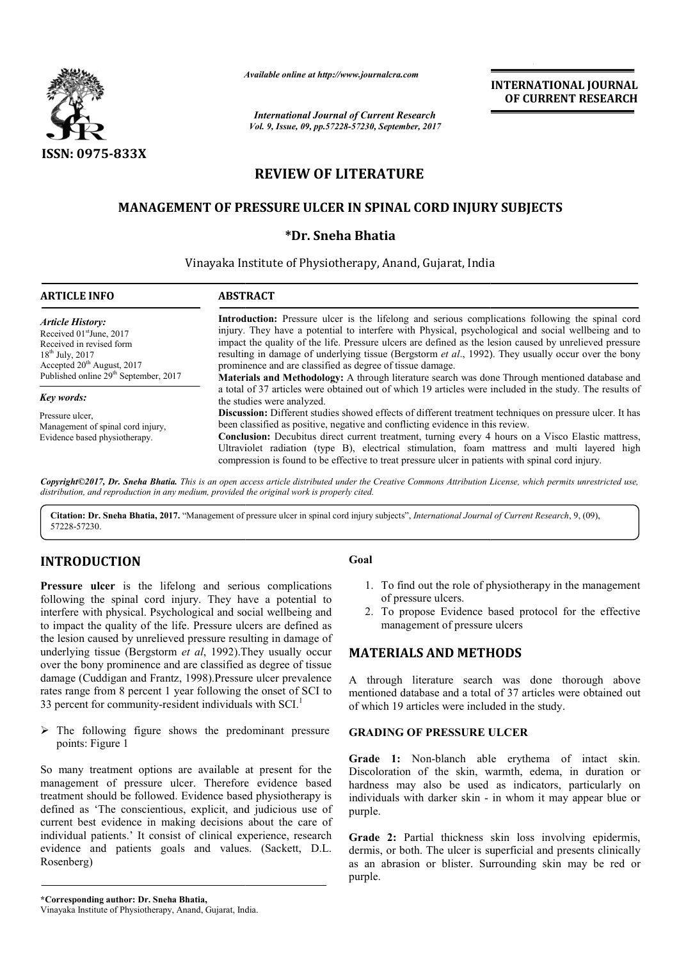

*Available online at http://www.journal http://www.journalcra.com*

# **REVIEW OF LITERATURE**

## **MANAGEMENT OF PRESSURE ULCER IN SPINAL CORD INJURY SUBJECTS**

### **\*Dr. Sneha Bhatia**

### Vinayaka Institute of Physiotherapy, Anand, Gujarat, India , India

|                                                                                                                                                                                                                                                                                                                                                                                                                                                                       | лүшише опине иг пир.//www.journatera.com                                                                                                                                                                                                                                                                                                                                                                                                                                                                                                                                                                                                        |                                                                                                                                                                                             | <b>INTERNATIONAL JOURNAL</b><br>OF CURRENT RESEARCH                                                                                                                                                                                       |  |
|-----------------------------------------------------------------------------------------------------------------------------------------------------------------------------------------------------------------------------------------------------------------------------------------------------------------------------------------------------------------------------------------------------------------------------------------------------------------------|-------------------------------------------------------------------------------------------------------------------------------------------------------------------------------------------------------------------------------------------------------------------------------------------------------------------------------------------------------------------------------------------------------------------------------------------------------------------------------------------------------------------------------------------------------------------------------------------------------------------------------------------------|---------------------------------------------------------------------------------------------------------------------------------------------------------------------------------------------|-------------------------------------------------------------------------------------------------------------------------------------------------------------------------------------------------------------------------------------------|--|
|                                                                                                                                                                                                                                                                                                                                                                                                                                                                       |                                                                                                                                                                                                                                                                                                                                                                                                                                                                                                                                                                                                                                                 | <b>International Journal of Current Research</b><br>Vol. 9, Issue, 09, pp.57228-57230, September, 2017                                                                                      |                                                                                                                                                                                                                                           |  |
| ISSN: 0975-833X                                                                                                                                                                                                                                                                                                                                                                                                                                                       |                                                                                                                                                                                                                                                                                                                                                                                                                                                                                                                                                                                                                                                 |                                                                                                                                                                                             |                                                                                                                                                                                                                                           |  |
|                                                                                                                                                                                                                                                                                                                                                                                                                                                                       | <b>REVIEW OF LITERATURE</b>                                                                                                                                                                                                                                                                                                                                                                                                                                                                                                                                                                                                                     |                                                                                                                                                                                             |                                                                                                                                                                                                                                           |  |
|                                                                                                                                                                                                                                                                                                                                                                                                                                                                       | <b>MANAGEMENT OF PRESSURE ULCER IN SPINAL CORD INJURY SUBJECTS</b>                                                                                                                                                                                                                                                                                                                                                                                                                                                                                                                                                                              |                                                                                                                                                                                             |                                                                                                                                                                                                                                           |  |
|                                                                                                                                                                                                                                                                                                                                                                                                                                                                       | *Dr. Sneha Bhatia                                                                                                                                                                                                                                                                                                                                                                                                                                                                                                                                                                                                                               |                                                                                                                                                                                             |                                                                                                                                                                                                                                           |  |
|                                                                                                                                                                                                                                                                                                                                                                                                                                                                       | Vinayaka Institute of Physiotherapy, Anand, Gujarat, India                                                                                                                                                                                                                                                                                                                                                                                                                                                                                                                                                                                      |                                                                                                                                                                                             |                                                                                                                                                                                                                                           |  |
| <b>ARTICLE INFO</b>                                                                                                                                                                                                                                                                                                                                                                                                                                                   | <b>ABSTRACT</b>                                                                                                                                                                                                                                                                                                                                                                                                                                                                                                                                                                                                                                 |                                                                                                                                                                                             |                                                                                                                                                                                                                                           |  |
| <b>Article History:</b><br>Received 01stJune, 2017<br>Received in revised form<br>18 <sup>th</sup> July, 2017<br>Accepted 20 <sup>th</sup> August, 2017<br>Published online 29 <sup>th</sup> September, 2017                                                                                                                                                                                                                                                          | Introduction: Pressure ulcer is the lifelong and serious complications following the spinal cord<br>injury. They have a potential to interfere with Physical, psychological and social wellbeing and to<br>impact the quality of the life. Pressure ulcers are defined as the lesion caused by unrelieved pressure<br>resulting in damage of underlying tissue (Bergstorm et al., 1992). They usually occur over the bony<br>prominence and are classified as degree of tissue damage.<br>Materials and Methodology: A through literature search was done Through mentioned database and                                                        |                                                                                                                                                                                             |                                                                                                                                                                                                                                           |  |
| <b>Key words:</b><br>Pressure ulcer,<br>Management of spinal cord injury,<br>Evidence based physiotherapy.                                                                                                                                                                                                                                                                                                                                                            | a total of 37 articles were obtained out of which 19 articles were included in the study. The results of<br>the studies were analyzed.<br>Discussion: Different studies showed effects of different treatment techniques on pressure ulcer. It has<br>been classified as positive, negative and conflicting evidence in this review.<br>Conclusion: Decubitus direct current treatment, turning every 4 hours on a Visco Elastic mattress,<br>Ultraviolet radiation (type B), electrical stimulation, foam mattress and multi layered high<br>compression is found to be effective to treat pressure ulcer in patients with spinal cord injury. |                                                                                                                                                                                             |                                                                                                                                                                                                                                           |  |
| distribution, and reproduction in any medium, provided the original work is properly cited.                                                                                                                                                                                                                                                                                                                                                                           |                                                                                                                                                                                                                                                                                                                                                                                                                                                                                                                                                                                                                                                 |                                                                                                                                                                                             | Copyright©2017, Dr. Sneha Bhatia. This is an open access article distributed under the Creative Commons Attribution License, which permits unrestricted use,                                                                              |  |
| Citation: Dr. Sneha Bhatia, 2017. "Management of pressure ulcer in spinal cord injury subjects", International Journal of Current Research, 9, (09),<br>57228-57230.                                                                                                                                                                                                                                                                                                  |                                                                                                                                                                                                                                                                                                                                                                                                                                                                                                                                                                                                                                                 |                                                                                                                                                                                             |                                                                                                                                                                                                                                           |  |
| <b>INTRODUCTION</b>                                                                                                                                                                                                                                                                                                                                                                                                                                                   |                                                                                                                                                                                                                                                                                                                                                                                                                                                                                                                                                                                                                                                 | Goal                                                                                                                                                                                        |                                                                                                                                                                                                                                           |  |
| Pressure ulcer is the lifelong and serious complications<br>following the spinal cord injury. They have a potential to<br>interfere with physical. Psychological and social wellbeing and<br>to impact the quality of the life. Pressure ulcers are defined as<br>the lesion caused by unrelieved pressure resulting in damage of<br>underlying tissue (Bergstorm et al, 1992). They usually occur<br>over the bony prominence and are classified as degree of tissue |                                                                                                                                                                                                                                                                                                                                                                                                                                                                                                                                                                                                                                                 | 1. To find out the role of physiotherapy in the management<br>of pressure ulcers.<br>2. To propose Evidence based protocol for the effective<br>management of pressure ulcers               |                                                                                                                                                                                                                                           |  |
|                                                                                                                                                                                                                                                                                                                                                                                                                                                                       |                                                                                                                                                                                                                                                                                                                                                                                                                                                                                                                                                                                                                                                 | <b>MATERIALS AND METHODS</b>                                                                                                                                                                |                                                                                                                                                                                                                                           |  |
| damage (Cuddigan and Frantz, 1998).Pressure ulcer prevalence<br>rates range from 8 percent 1 year following the onset of SCI to<br>33 percent for community-resident individuals with SCI. <sup>1</sup>                                                                                                                                                                                                                                                               |                                                                                                                                                                                                                                                                                                                                                                                                                                                                                                                                                                                                                                                 | A through literature search was done thorough above<br>mentioned database and a total of 37 articles were obtained out<br>of which 19 articles were included in the study.                  |                                                                                                                                                                                                                                           |  |
| $\triangleright$ The following figure shows the predominant pressure<br>points: Figure 1                                                                                                                                                                                                                                                                                                                                                                              |                                                                                                                                                                                                                                                                                                                                                                                                                                                                                                                                                                                                                                                 | <b>GRADING OF PRESSURE ULCER</b>                                                                                                                                                            |                                                                                                                                                                                                                                           |  |
| So many treatment options are available at present for the<br>management of pressure ulcer. Therefore evidence based<br>treatment should be followed. Evidence based physiotherapy is<br>defined as 'The conscientious, explicit, and judicious use of<br>current best evidence in making decisions about the care of                                                                                                                                                 |                                                                                                                                                                                                                                                                                                                                                                                                                                                                                                                                                                                                                                                 | purple.                                                                                                                                                                                     | Grade 1: Non-blanch able erythema of intact skin.<br>Discoloration of the skin, warmth, edema, in duration or<br>hardness may also be used as indicators, particularly on<br>individuals with darker skin - in whom it may appear blue or |  |
| individual patients.' It consist of clinical experience, research<br>evidence and patients goals and values. (Sackett, D.L.<br>Rosenberg)                                                                                                                                                                                                                                                                                                                             |                                                                                                                                                                                                                                                                                                                                                                                                                                                                                                                                                                                                                                                 | Grade 2: Partial thickness skin loss involving epidermis,<br>dermis, or both. The ulcer is superficial and presents clinically<br>as an abrasion or blister. Surrounding skin may be red or |                                                                                                                                                                                                                                           |  |

## **INTRODUCTION**

### **Goal**

- 1. To find out the role of physiotherapy in the management of pressure ulcers.
- 2. To propose Evidence based protocol for the effective management of pressure ulcers the management<br>trs.<br>idence based protocol for the effective<br>pressure ulcers

## **MATERIALS AND METHOD METHODS**

### **GRADING OF PRESSURE ULCER**

**Grade 2:** Partial thickness skin loss involving epidermis, dermis, or both. The ulcer is superficial and presents clinically as an abrasion or blister. Surrounding skin may be red or purple.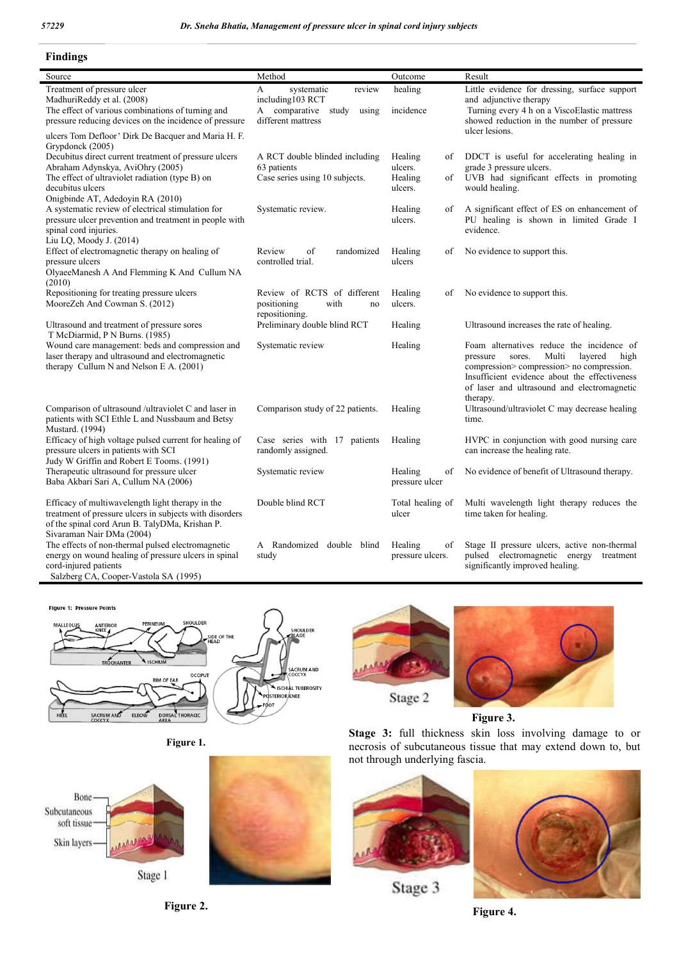#### **Findings**

| Source                                                                                                                                                                                              | Method                                                                                                    | Outcome                                              | Result                                                                                                                                                                                                                                               |
|-----------------------------------------------------------------------------------------------------------------------------------------------------------------------------------------------------|-----------------------------------------------------------------------------------------------------------|------------------------------------------------------|------------------------------------------------------------------------------------------------------------------------------------------------------------------------------------------------------------------------------------------------------|
| Treatment of pressure ulcer<br>MadhuriReddy et al. (2008)<br>The effect of various combinations of turning and<br>pressure reducing devices on the incidence of pressure                            | A<br>systematic<br>review<br>including103 RCT<br>comparative<br>A<br>study<br>using<br>different mattress | healing<br>incidence                                 | Little evidence for dressing, surface support<br>and adjunctive therapy<br>Turning every 4 h on a ViscoElastic mattress<br>showed reduction in the number of pressure                                                                                |
| ulcers Tom Defloor' Dirk De Bacquer and Maria H. F.<br>Grypdonck (2005)                                                                                                                             |                                                                                                           |                                                      | ulcer lesions.                                                                                                                                                                                                                                       |
| Decubitus direct current treatment of pressure ulcers<br>Abraham Adynskya, AviOhry (2005)<br>The effect of ultraviolet radiation (type B) on<br>decubitus ulcers                                    | A RCT double blinded including<br>63 patients<br>Case series using 10 subjects.                           | Healing<br>οf<br>ulcers.<br>Healing<br>оf<br>ulcers. | DDCT is useful for accelerating healing in<br>grade 3 pressure ulcers.<br>UVB had significant effects in promoting<br>would healing.                                                                                                                 |
| Onigbinde AT, Adedoyin RA (2010)<br>A systematic review of electrical stimulation for<br>pressure ulcer prevention and treatment in people with<br>spinal cord injuries.<br>Liu LQ, Moody J. (2014) | Systematic review.                                                                                        | Healing<br>of<br>ulcers.                             | A significant effect of ES on enhancement of<br>PU healing is shown in limited Grade I<br>evidence.                                                                                                                                                  |
| Effect of electromagnetic therapy on healing of<br>pressure ulcers<br>OlyaeeManesh A And Flemming K And Cullum NA<br>(2010)                                                                         | Review<br>of<br>randomized<br>controlled trial.                                                           | Healing<br>of<br>ulcers                              | No evidence to support this.                                                                                                                                                                                                                         |
| Repositioning for treating pressure ulcers<br>MooreZeh And Cowman S. (2012)                                                                                                                         | Review of RCTS of different<br>positioning<br>with<br>no<br>repositioning.                                | Healing<br>of<br>ulcers.                             | No evidence to support this.                                                                                                                                                                                                                         |
| Ultrasound and treatment of pressure sores<br>T McDiarmid, P N Burns. (1985)                                                                                                                        | Preliminary double blind RCT                                                                              | Healing                                              | Ultrasound increases the rate of healing.                                                                                                                                                                                                            |
| Wound care management: beds and compression and<br>laser therapy and ultrasound and electromagnetic<br>therapy Cullum N and Nelson E A. (2001)                                                      | Systematic review                                                                                         | Healing                                              | Foam alternatives reduce the incidence of<br>Multi<br>layered<br>pressure<br>sores.<br>high<br>compression> compression> no compression.<br>Insufficient evidence about the effectiveness<br>of laser and ultrasound and electromagnetic<br>therapy. |
| Comparison of ultrasound /ultraviolet C and laser in<br>patients with SCI Ethle L and Nussbaum and Betsy<br>Mustard. (1994)                                                                         | Comparison study of 22 patients.                                                                          | Healing                                              | Ultrasound/ultraviolet C may decrease healing<br>time.                                                                                                                                                                                               |
| Efficacy of high voltage pulsed current for healing of<br>pressure ulcers in patients with SCI<br>Judy W Griffin and Robert E Tooms. (1991)                                                         | Case series with 17 patients<br>randomly assigned.                                                        | Healing                                              | HVPC in conjunction with good nursing care<br>can increase the healing rate.                                                                                                                                                                         |
| Therapeutic ultrasound for pressure ulcer<br>Baba Akbari Sari A, Cullum NA (2006)                                                                                                                   | Systematic review                                                                                         | Healing<br>of<br>pressure ulcer                      | No evidence of benefit of Ultrasound therapy.                                                                                                                                                                                                        |
| Efficacy of multiwavelength light therapy in the<br>treatment of pressure ulcers in subjects with disorders<br>of the spinal cord Arun B. TalyDMa, Krishan P.<br>Sivaraman Nair DMa (2004)          | Double blind RCT                                                                                          | Total healing of<br>ulcer                            | Multi wavelength light therapy reduces the<br>time taken for healing.                                                                                                                                                                                |
| The effects of non-thermal pulsed electromagnetic<br>energy on wound healing of pressure ulcers in spinal<br>cord-injured patients<br>Salzberg CA, Cooper-Vastola SA (1995)                         | A Randomized double blind<br>study                                                                        | Healing<br>of<br>pressure ulcers.                    | Stage II pressure ulcers, active non-thermal<br>pulsed electromagnetic energy<br>treatment<br>significantly improved healing.                                                                                                                        |

Figure 1: Pressure Points











 **Figure 3.**

**Stage 3:** full thickness skin loss involving damage to or necrosis of subcutaneous tissue that may extend down to, but not through underlying fascia.



Stage 3



**Figure 2.**

**Figure 4.**